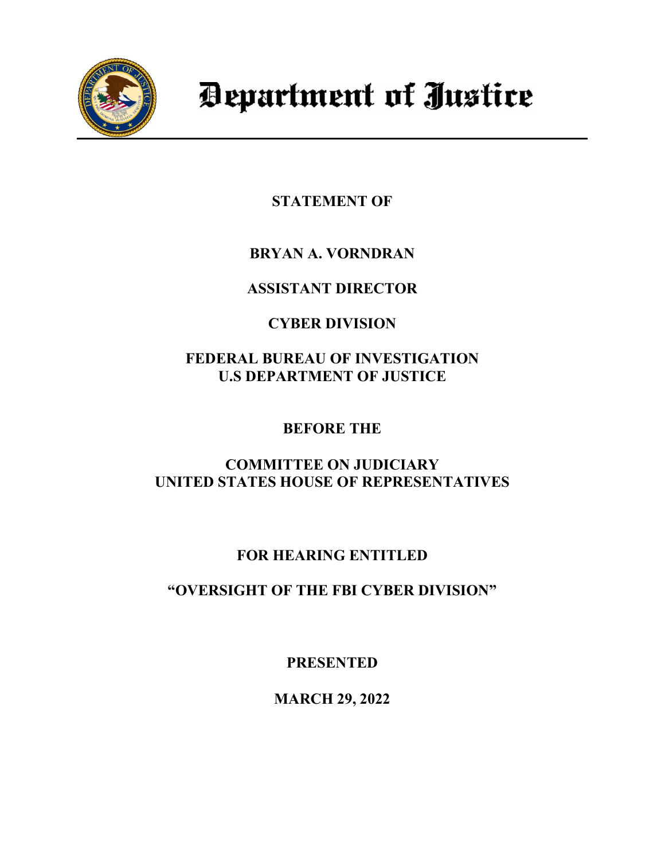

# Department of Justice

**STATEMENT OF** 

**BRYAN A. VORNDRAN**

**ASSISTANT DIRECTOR**

# **CYBER DIVISION**

**FEDERAL BUREAU OF INVESTIGATION U.S DEPARTMENT OF JUSTICE**

**BEFORE THE**

**COMMITTEE ON JUDICIARY UNITED STATES HOUSE OF REPRESENTATIVES**

# **FOR HEARING ENTITLED**

**"OVERSIGHT OF THE FBI CYBER DIVISION"** 

**PRESENTED**

**MARCH 29, 2022**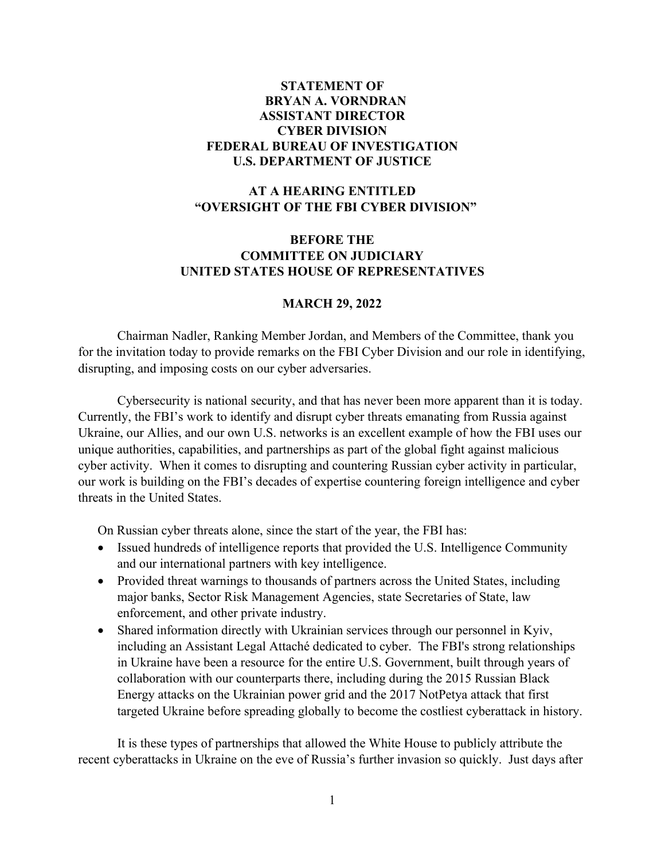# **STATEMENT OF BRYAN A. VORNDRAN ASSISTANT DIRECTOR CYBER DIVISION FEDERAL BUREAU OF INVESTIGATION U.S. DEPARTMENT OF JUSTICE**

# **AT A HEARING ENTITLED "OVERSIGHT OF THE FBI CYBER DIVISION"**

# **BEFORE THE COMMITTEE ON JUDICIARY UNITED STATES HOUSE OF REPRESENTATIVES**

### **MARCH 29, 2022**

Chairman Nadler, Ranking Member Jordan, and Members of the Committee, thank you for the invitation today to provide remarks on the FBI Cyber Division and our role in identifying, disrupting, and imposing costs on our cyber adversaries.

Cybersecurity is national security, and that has never been more apparent than it is today. Currently, the FBI's work to identify and disrupt cyber threats emanating from Russia against Ukraine, our Allies, and our own U.S. networks is an excellent example of how the FBI uses our unique authorities, capabilities, and partnerships as part of the global fight against malicious cyber activity. When it comes to disrupting and countering Russian cyber activity in particular, our work is building on the FBI's decades of expertise countering foreign intelligence and cyber threats in the United States.

On Russian cyber threats alone, since the start of the year, the FBI has:

- Issued hundreds of intelligence reports that provided the U.S. Intelligence Community and our international partners with key intelligence.
- Provided threat warnings to thousands of partners across the United States, including major banks, Sector Risk Management Agencies, state Secretaries of State, law enforcement, and other private industry.
- Shared information directly with Ukrainian services through our personnel in Kyiv, including an Assistant Legal Attaché dedicated to cyber. The FBI's strong relationships in Ukraine have been a resource for the entire U.S. Government, built through years of collaboration with our counterparts there, including during the 2015 Russian Black Energy attacks on the Ukrainian power grid and the 2017 NotPetya attack that first targeted Ukraine before spreading globally to become the costliest cyberattack in history.

It is these types of partnerships that allowed the White House to publicly attribute the recent cyberattacks in Ukraine on the eve of Russia's further invasion so quickly. Just days after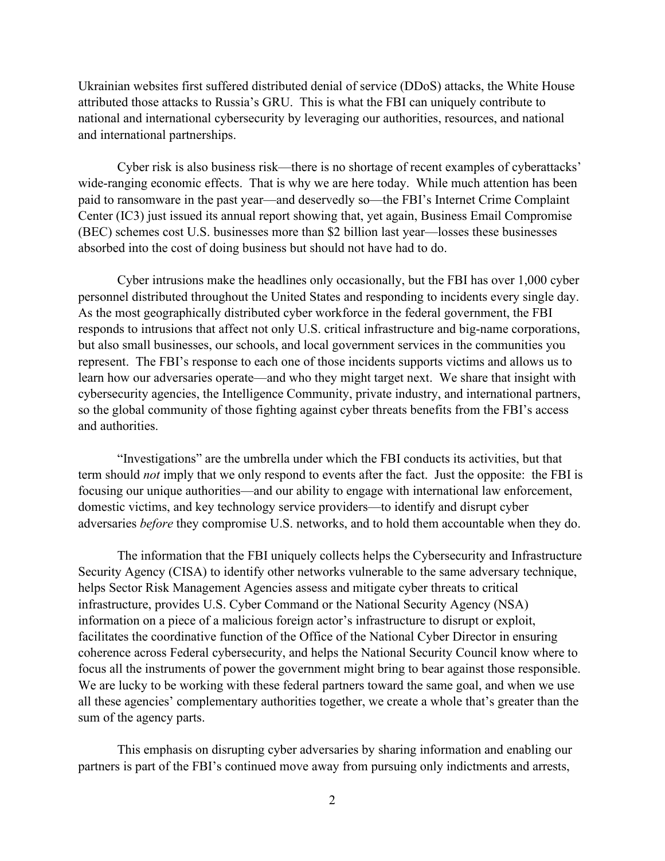Ukrainian websites first suffered distributed denial of service (DDoS) attacks, the White House attributed those attacks to Russia's GRU. This is what the FBI can uniquely contribute to national and international cybersecurity by leveraging our authorities, resources, and national and international partnerships.

Cyber risk is also business risk—there is no shortage of recent examples of cyberattacks' wide-ranging economic effects. That is why we are here today. While much attention has been paid to ransomware in the past year—and deservedly so—the FBI's Internet Crime Complaint Center (IC3) just issued its annual report showing that, yet again, Business Email Compromise (BEC) schemes cost U.S. businesses more than \$2 billion last year—losses these businesses absorbed into the cost of doing business but should not have had to do.

Cyber intrusions make the headlines only occasionally, but the FBI has over 1,000 cyber personnel distributed throughout the United States and responding to incidents every single day. As the most geographically distributed cyber workforce in the federal government, the FBI responds to intrusions that affect not only U.S. critical infrastructure and big-name corporations, but also small businesses, our schools, and local government services in the communities you represent. The FBI's response to each one of those incidents supports victims and allows us to learn how our adversaries operate—and who they might target next. We share that insight with cybersecurity agencies, the Intelligence Community, private industry, and international partners, so the global community of those fighting against cyber threats benefits from the FBI's access and authorities.

"Investigations" are the umbrella under which the FBI conducts its activities, but that term should *not* imply that we only respond to events after the fact. Just the opposite: the FBI is focusing our unique authorities—and our ability to engage with international law enforcement, domestic victims, and key technology service providers—to identify and disrupt cyber adversaries *before* they compromise U.S. networks, and to hold them accountable when they do.

The information that the FBI uniquely collects helps the Cybersecurity and Infrastructure Security Agency (CISA) to identify other networks vulnerable to the same adversary technique, helps Sector Risk Management Agencies assess and mitigate cyber threats to critical infrastructure, provides U.S. Cyber Command or the National Security Agency (NSA) information on a piece of a malicious foreign actor's infrastructure to disrupt or exploit, facilitates the coordinative function of the Office of the National Cyber Director in ensuring coherence across Federal cybersecurity, and helps the National Security Council know where to focus all the instruments of power the government might bring to bear against those responsible. We are lucky to be working with these federal partners toward the same goal, and when we use all these agencies' complementary authorities together, we create a whole that's greater than the sum of the agency parts.

This emphasis on disrupting cyber adversaries by sharing information and enabling our partners is part of the FBI's continued move away from pursuing only indictments and arrests,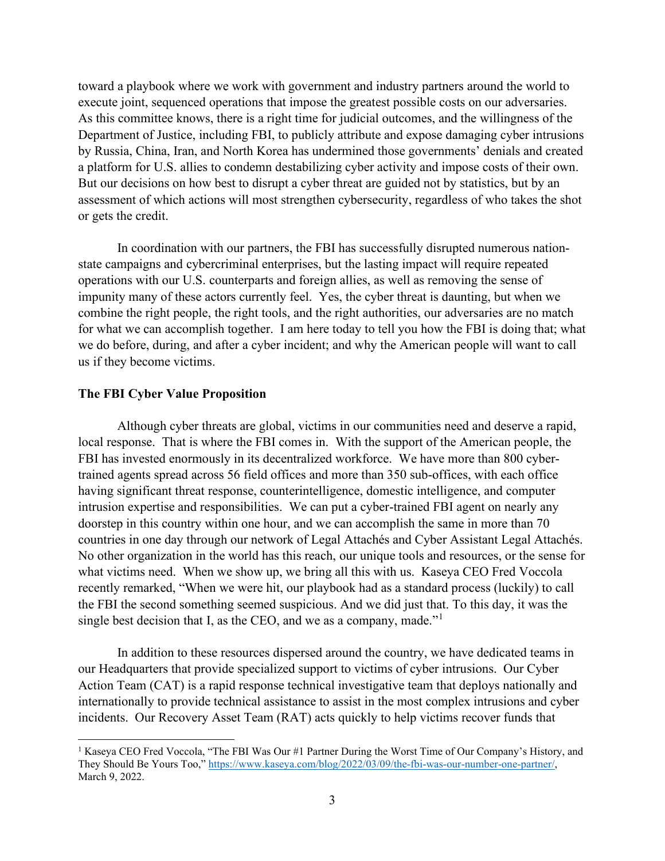toward a playbook where we work with government and industry partners around the world to execute joint, sequenced operations that impose the greatest possible costs on our adversaries. As this committee knows, there is a right time for judicial outcomes, and the willingness of the Department of Justice, including FBI, to publicly attribute and expose damaging cyber intrusions by Russia, China, Iran, and North Korea has undermined those governments' denials and created a platform for U.S. allies to condemn destabilizing cyber activity and impose costs of their own. But our decisions on how best to disrupt a cyber threat are guided not by statistics, but by an assessment of which actions will most strengthen cybersecurity, regardless of who takes the shot or gets the credit.

In coordination with our partners, the FBI has successfully disrupted numerous nationstate campaigns and cybercriminal enterprises, but the lasting impact will require repeated operations with our U.S. counterparts and foreign allies, as well as removing the sense of impunity many of these actors currently feel. Yes, the cyber threat is daunting, but when we combine the right people, the right tools, and the right authorities, our adversaries are no match for what we can accomplish together. I am here today to tell you how the FBI is doing that; what we do before, during, and after a cyber incident; and why the American people will want to call us if they become victims.

#### **The FBI Cyber Value Proposition**

Although cyber threats are global, victims in our communities need and deserve a rapid, local response. That is where the FBI comes in. With the support of the American people, the FBI has invested enormously in its decentralized workforce. We have more than 800 cybertrained agents spread across 56 field offices and more than 350 sub-offices, with each office having significant threat response, counterintelligence, domestic intelligence, and computer intrusion expertise and responsibilities. We can put a cyber-trained FBI agent on nearly any doorstep in this country within one hour, and we can accomplish the same in more than 70 countries in one day through our network of Legal Attachés and Cyber Assistant Legal Attachés. No other organization in the world has this reach, our unique tools and resources, or the sense for what victims need. When we show up, we bring all this with us. Kaseya CEO Fred Voccola recently remarked, "When we were hit, our playbook had as a standard process (luckily) to call the FBI the second something seemed suspicious. And we did just that. To this day, it was the single best decision that I, as the CEO, and we as a company, made."<sup>[1](#page-3-0)</sup>

In addition to these resources dispersed around the country, we have dedicated teams in our Headquarters that provide specialized support to victims of cyber intrusions. Our Cyber Action Team (CAT) is a rapid response technical investigative team that deploys nationally and internationally to provide technical assistance to assist in the most complex intrusions and cyber incidents. Our Recovery Asset Team (RAT) acts quickly to help victims recover funds that

<span id="page-3-0"></span><sup>&</sup>lt;sup>1</sup> Kaseya CEO Fred Voccola, "The FBI Was Our #1 Partner During the Worst Time of Our Company's History, and They Should Be Yours Too," [https://www.kaseya.com/blog/2022/03/09/the-fbi-was-our-number-one-partner/,](https://www.kaseya.com/blog/2022/03/09/the-fbi-was-our-number-one-partner/) March 9, 2022.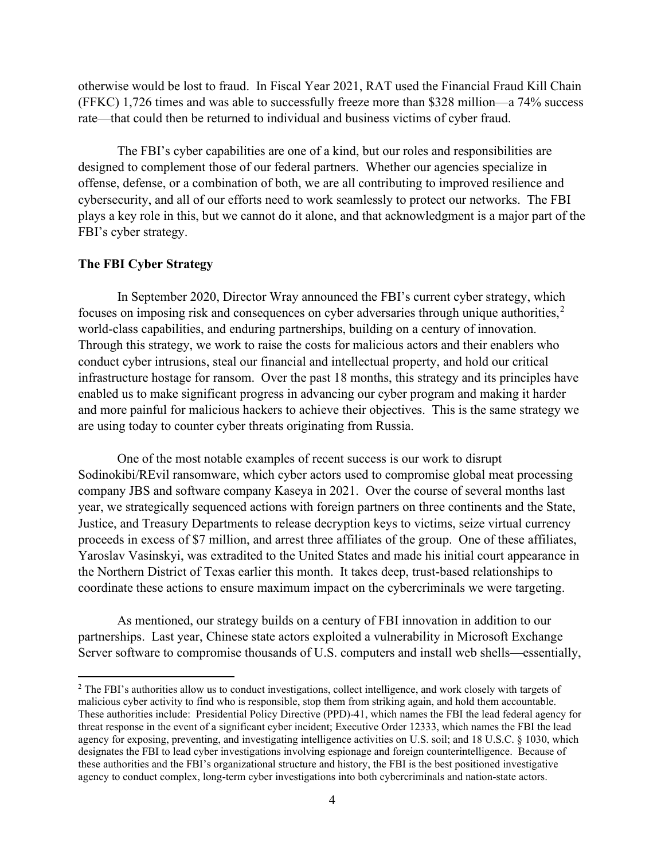otherwise would be lost to fraud. In Fiscal Year 2021, RAT used the Financial Fraud Kill Chain (FFKC) 1,726 times and was able to successfully freeze more than \$328 million—a 74% success rate—that could then be returned to individual and business victims of cyber fraud.

The FBI's cyber capabilities are one of a kind, but our roles and responsibilities are designed to complement those of our federal partners. Whether our agencies specialize in offense, defense, or a combination of both, we are all contributing to improved resilience and cybersecurity, and all of our efforts need to work seamlessly to protect our networks. The FBI plays a key role in this, but we cannot do it alone, and that acknowledgment is a major part of the FBI's cyber strategy.

## **The FBI Cyber Strategy**

In September 2020, Director Wray announced the FBI's current cyber strategy, which focuses on imposing risk and consequences on cyber adversaries through unique authorities,  $2^{\circ}$  $2^{\circ}$ world-class capabilities, and enduring partnerships, building on a century of innovation. Through this strategy, we work to raise the costs for malicious actors and their enablers who conduct cyber intrusions, steal our financial and intellectual property, and hold our critical infrastructure hostage for ransom. Over the past 18 months, this strategy and its principles have enabled us to make significant progress in advancing our cyber program and making it harder and more painful for malicious hackers to achieve their objectives. This is the same strategy we are using today to counter cyber threats originating from Russia.

One of the most notable examples of recent success is our work to disrupt Sodinokibi/REvil ransomware, which cyber actors used to compromise global meat processing company JBS and software company Kaseya in 2021. Over the course of several months last year, we strategically sequenced actions with foreign partners on three continents and the State, Justice, and Treasury Departments to release decryption keys to victims, seize virtual currency proceeds in excess of \$7 million, and arrest three affiliates of the group. One of these affiliates, Yaroslav Vasinskyi, was extradited to the United States and made his initial court appearance in the Northern District of Texas earlier this month. It takes deep, trust-based relationships to coordinate these actions to ensure maximum impact on the cybercriminals we were targeting.

As mentioned, our strategy builds on a century of FBI innovation in addition to our partnerships. Last year, Chinese state actors exploited a vulnerability in Microsoft Exchange Server software to compromise thousands of U.S. computers and install web shells—essentially,

<span id="page-4-0"></span><sup>&</sup>lt;sup>2</sup> The FBI's authorities allow us to conduct investigations, collect intelligence, and work closely with targets of malicious cyber activity to find who is responsible, stop them from striking again, and hold them accountable. These authorities include: Presidential Policy Directive (PPD)-41, which names the FBI the lead federal agency for threat response in the event of a significant cyber incident; Executive Order 12333, which names the FBI the lead agency for exposing, preventing, and investigating intelligence activities on U.S. soil; and 18 U.S.C. § 1030, which designates the FBI to lead cyber investigations involving espionage and foreign counterintelligence. Because of these authorities and the FBI's organizational structure and history, the FBI is the best positioned investigative agency to conduct complex, long-term cyber investigations into both cybercriminals and nation-state actors.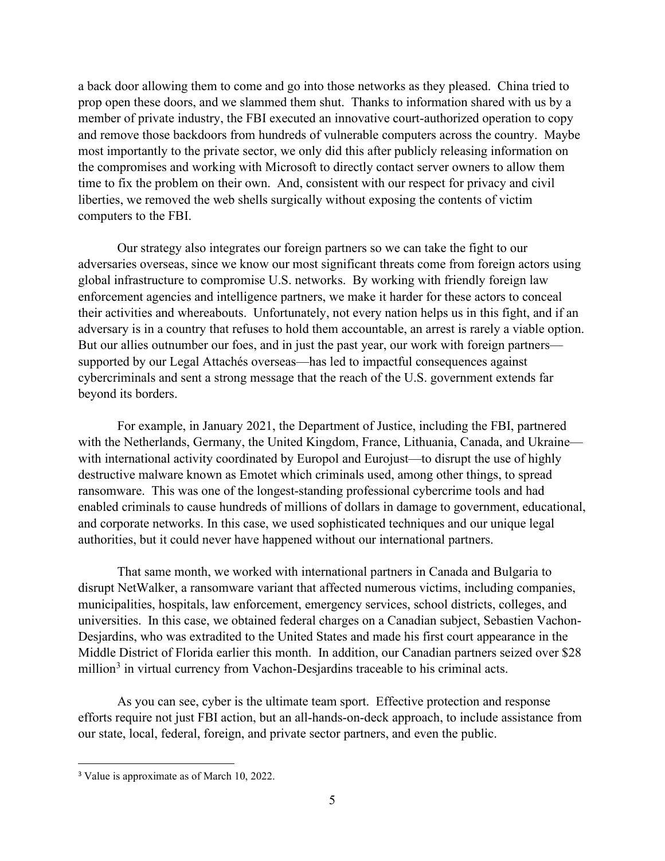a back door allowing them to come and go into those networks as they pleased. China tried to prop open these doors, and we slammed them shut. Thanks to information shared with us by a member of private industry, the FBI executed an innovative court-authorized operation to copy and remove those backdoors from hundreds of vulnerable computers across the country. Maybe most importantly to the private sector, we only did this after publicly releasing information on the compromises and working with Microsoft to directly contact server owners to allow them time to fix the problem on their own. And, consistent with our respect for privacy and civil liberties, we removed the web shells surgically without exposing the contents of victim computers to the FBI.

Our strategy also integrates our foreign partners so we can take the fight to our adversaries overseas, since we know our most significant threats come from foreign actors using global infrastructure to compromise U.S. networks. By working with friendly foreign law enforcement agencies and intelligence partners, we make it harder for these actors to conceal their activities and whereabouts. Unfortunately, not every nation helps us in this fight, and if an adversary is in a country that refuses to hold them accountable, an arrest is rarely a viable option. But our allies outnumber our foes, and in just the past year, our work with foreign partners supported by our Legal Attachés overseas—has led to impactful consequences against cybercriminals and sent a strong message that the reach of the U.S. government extends far beyond its borders.

For example, in January 2021, the Department of Justice, including the FBI, partnered with the Netherlands, Germany, the United Kingdom, France, Lithuania, Canada, and Ukraine with international activity coordinated by Europol and Eurojust—to disrupt the use of highly destructive malware known as Emotet which criminals used, among other things, to spread ransomware. This was one of the longest-standing professional cybercrime tools and had enabled criminals to cause hundreds of millions of dollars in damage to government, educational, and corporate networks. In this case, we used sophisticated techniques and our unique legal authorities, but it could never have happened without our international partners.

That same month, we worked with international partners in Canada and Bulgaria to disrupt NetWalker, a ransomware variant that affected numerous victims, including companies, municipalities, hospitals, law enforcement, emergency services, school districts, colleges, and universities. In this case, we obtained federal charges on a Canadian subject, Sebastien Vachon-Desjardins, who was extradited to the United States and made his first court appearance in the Middle District of Florida earlier this month. In addition, our Canadian partners seized over \$28 million<sup>[3](#page-5-0)</sup> in virtual currency from Vachon-Desjardins traceable to his criminal acts.

As you can see, cyber is the ultimate team sport. Effective protection and response efforts require not just FBI action, but an all-hands-on-deck approach, to include assistance from our state, local, federal, foreign, and private sector partners, and even the public.

<span id="page-5-0"></span><sup>&</sup>lt;sup>3</sup> Value is approximate as of March 10, 2022.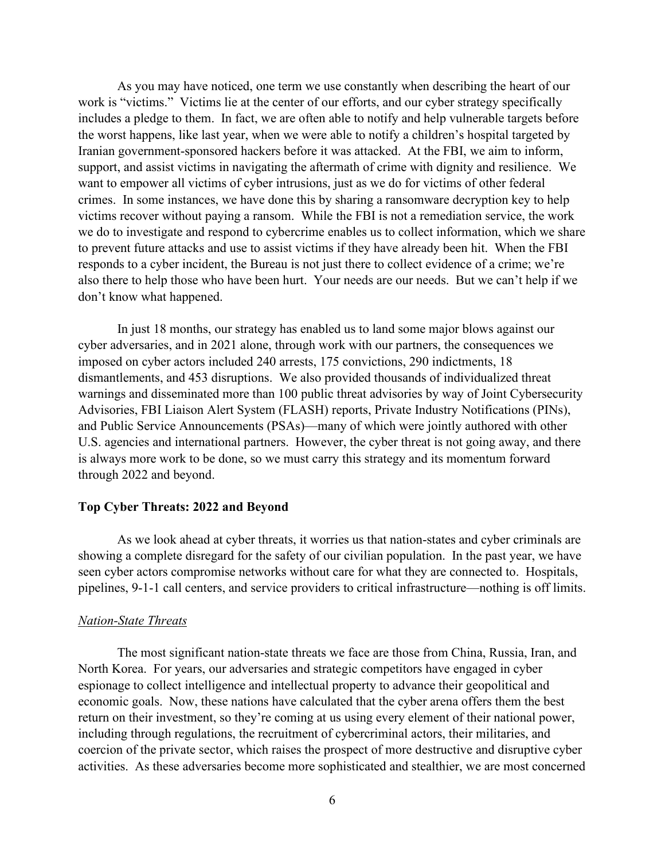As you may have noticed, one term we use constantly when describing the heart of our work is "victims." Victims lie at the center of our efforts, and our cyber strategy specifically includes a pledge to them. In fact, we are often able to notify and help vulnerable targets before the worst happens, like last year, when we were able to notify a children's hospital targeted by Iranian government-sponsored hackers before it was attacked. At the FBI, we aim to inform, support, and assist victims in navigating the aftermath of crime with dignity and resilience. We want to empower all victims of cyber intrusions, just as we do for victims of other federal crimes. In some instances, we have done this by sharing a ransomware decryption key to help victims recover without paying a ransom. While the FBI is not a remediation service, the work we do to investigate and respond to cybercrime enables us to collect information, which we share to prevent future attacks and use to assist victims if they have already been hit. When the FBI responds to a cyber incident, the Bureau is not just there to collect evidence of a crime; we're also there to help those who have been hurt. Your needs are our needs. But we can't help if we don't know what happened.

In just 18 months, our strategy has enabled us to land some major blows against our cyber adversaries, and in 2021 alone, through work with our partners, the consequences we imposed on cyber actors included 240 arrests, 175 convictions, 290 indictments, 18 dismantlements, and 453 disruptions. We also provided thousands of individualized threat warnings and disseminated more than 100 public threat advisories by way of Joint Cybersecurity Advisories, FBI Liaison Alert System (FLASH) reports, Private Industry Notifications (PINs), and Public Service Announcements (PSAs)—many of which were jointly authored with other U.S. agencies and international partners. However, the cyber threat is not going away, and there is always more work to be done, so we must carry this strategy and its momentum forward through 2022 and beyond.

#### **Top Cyber Threats: 2022 and Beyond**

As we look ahead at cyber threats, it worries us that nation-states and cyber criminals are showing a complete disregard for the safety of our civilian population. In the past year, we have seen cyber actors compromise networks without care for what they are connected to. Hospitals, pipelines, 9-1-1 call centers, and service providers to critical infrastructure—nothing is off limits.

#### *Nation-State Threats*

The most significant nation-state threats we face are those from China, Russia, Iran, and North Korea. For years, our adversaries and strategic competitors have engaged in cyber espionage to collect intelligence and intellectual property to advance their geopolitical and economic goals. Now, these nations have calculated that the cyber arena offers them the best return on their investment, so they're coming at us using every element of their national power, including through regulations, the recruitment of cybercriminal actors, their militaries, and coercion of the private sector, which raises the prospect of more destructive and disruptive cyber activities. As these adversaries become more sophisticated and stealthier, we are most concerned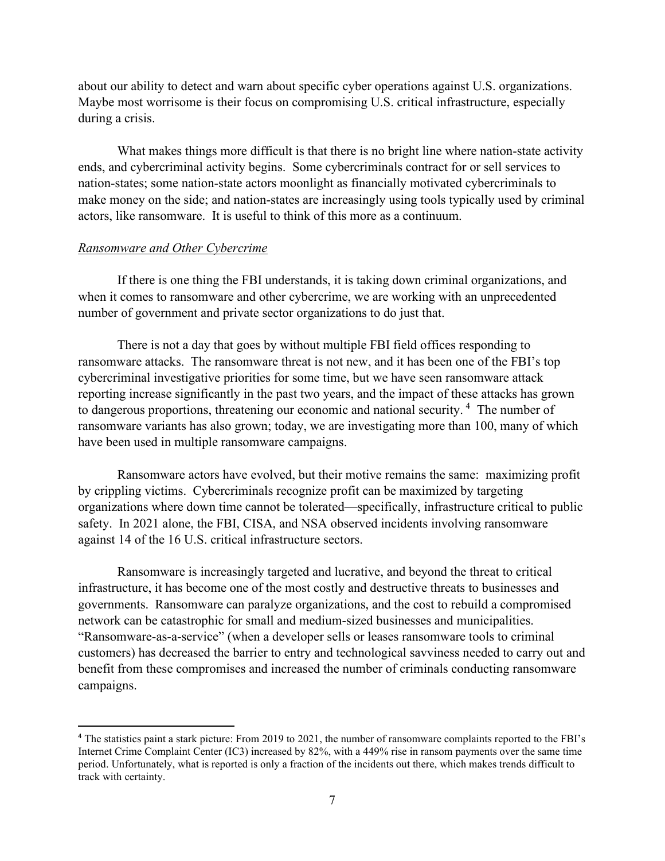about our ability to detect and warn about specific cyber operations against U.S. organizations. Maybe most worrisome is their focus on compromising U.S. critical infrastructure, especially during a crisis.

What makes things more difficult is that there is no bright line where nation-state activity ends, and cybercriminal activity begins. Some cybercriminals contract for or sell services to nation-states; some nation-state actors moonlight as financially motivated cybercriminals to make money on the side; and nation-states are increasingly using tools typically used by criminal actors, like ransomware. It is useful to think of this more as a continuum.

## *Ransomware and Other Cybercrime*

If there is one thing the FBI understands, it is taking down criminal organizations, and when it comes to ransomware and other cybercrime, we are working with an unprecedented number of government and private sector organizations to do just that.

There is not a day that goes by without multiple FBI field offices responding to ransomware attacks. The ransomware threat is not new, and it has been one of the FBI's top cybercriminal investigative priorities for some time, but we have seen ransomware attack reporting increase significantly in the past two years, and the impact of these attacks has grown to dangerous proportions, threatening our economic and national security.<sup>[4](#page-7-0)</sup> The number of ransomware variants has also grown; today, we are investigating more than 100, many of which have been used in multiple ransomware campaigns.

Ransomware actors have evolved, but their motive remains the same: maximizing profit by crippling victims. Cybercriminals recognize profit can be maximized by targeting organizations where down time cannot be tolerated—specifically, infrastructure critical to public safety. In 2021 alone, the FBI, CISA, and NSA observed incidents involving ransomware against 14 of the 16 U.S. critical infrastructure sectors.

Ransomware is increasingly targeted and lucrative, and beyond the threat to critical infrastructure, it has become one of the most costly and destructive threats to businesses and governments. Ransomware can paralyze organizations, and the cost to rebuild a compromised network can be catastrophic for small and medium-sized businesses and municipalities. "Ransomware-as-a-service" (when a developer sells or leases ransomware tools to criminal customers) has decreased the barrier to entry and technological savviness needed to carry out and benefit from these compromises and increased the number of criminals conducting ransomware campaigns.

<span id="page-7-0"></span><sup>&</sup>lt;sup>4</sup> The statistics paint a stark picture: From 2019 to 2021, the number of ransomware complaints reported to the FBI's Internet Crime Complaint Center (IC3) increased by 82%, with a 449% rise in ransom payments over the same time period. Unfortunately, what is reported is only a fraction of the incidents out there, which makes trends difficult to track with certainty.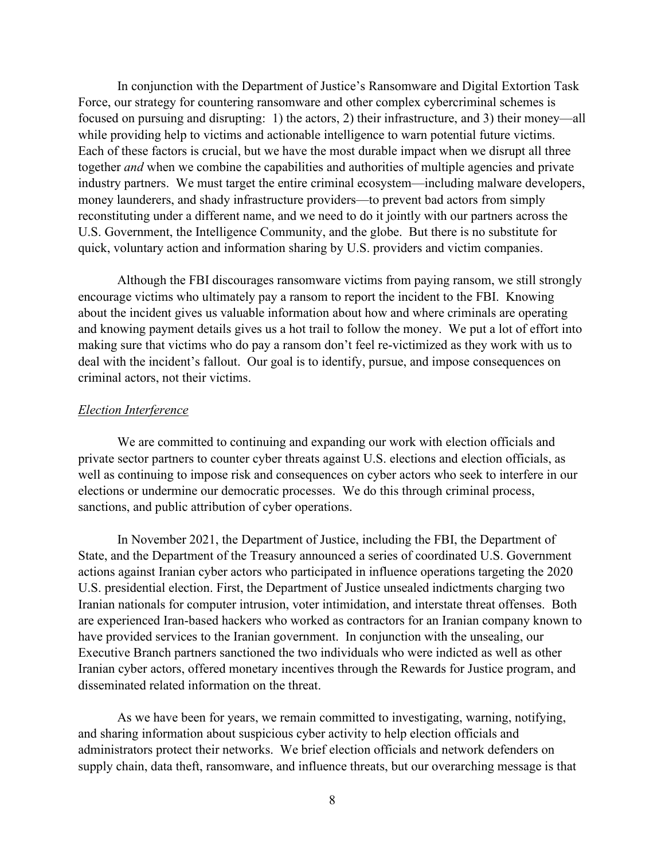In conjunction with the Department of Justice's Ransomware and Digital Extortion Task Force, our strategy for countering ransomware and other complex cybercriminal schemes is focused on pursuing and disrupting: 1) the actors, 2) their infrastructure, and 3) their money—all while providing help to victims and actionable intelligence to warn potential future victims. Each of these factors is crucial, but we have the most durable impact when we disrupt all three together *and* when we combine the capabilities and authorities of multiple agencies and private industry partners. We must target the entire criminal ecosystem—including malware developers, money launderers, and shady infrastructure providers—to prevent bad actors from simply reconstituting under a different name, and we need to do it jointly with our partners across the U.S. Government, the Intelligence Community, and the globe. But there is no substitute for quick, voluntary action and information sharing by U.S. providers and victim companies.

Although the FBI discourages ransomware victims from paying ransom, we still strongly encourage victims who ultimately pay a ransom to report the incident to the FBI. Knowing about the incident gives us valuable information about how and where criminals are operating and knowing payment details gives us a hot trail to follow the money. We put a lot of effort into making sure that victims who do pay a ransom don't feel re-victimized as they work with us to deal with the incident's fallout. Our goal is to identify, pursue, and impose consequences on criminal actors, not their victims.

#### *Election Interference*

We are committed to continuing and expanding our work with election officials and private sector partners to counter cyber threats against U.S. elections and election officials, as well as continuing to impose risk and consequences on cyber actors who seek to interfere in our elections or undermine our democratic processes. We do this through criminal process, sanctions, and public attribution of cyber operations.

In November 2021, the Department of Justice, including the FBI, the Department of State, and the Department of the Treasury announced a series of coordinated U.S. Government actions against Iranian cyber actors who participated in influence operations targeting the 2020 U.S. presidential election. First, the Department of Justice unsealed indictments charging two Iranian nationals for computer intrusion, voter intimidation, and interstate threat offenses. Both are experienced Iran-based hackers who worked as contractors for an Iranian company known to have provided services to the Iranian government. In conjunction with the unsealing, our Executive Branch partners sanctioned the two individuals who were indicted as well as other Iranian cyber actors, offered monetary incentives through the Rewards for Justice program, and disseminated related information on the threat.

As we have been for years, we remain committed to investigating, warning, notifying, and sharing information about suspicious cyber activity to help election officials and administrators protect their networks. We brief election officials and network defenders on supply chain, data theft, ransomware, and influence threats, but our overarching message is that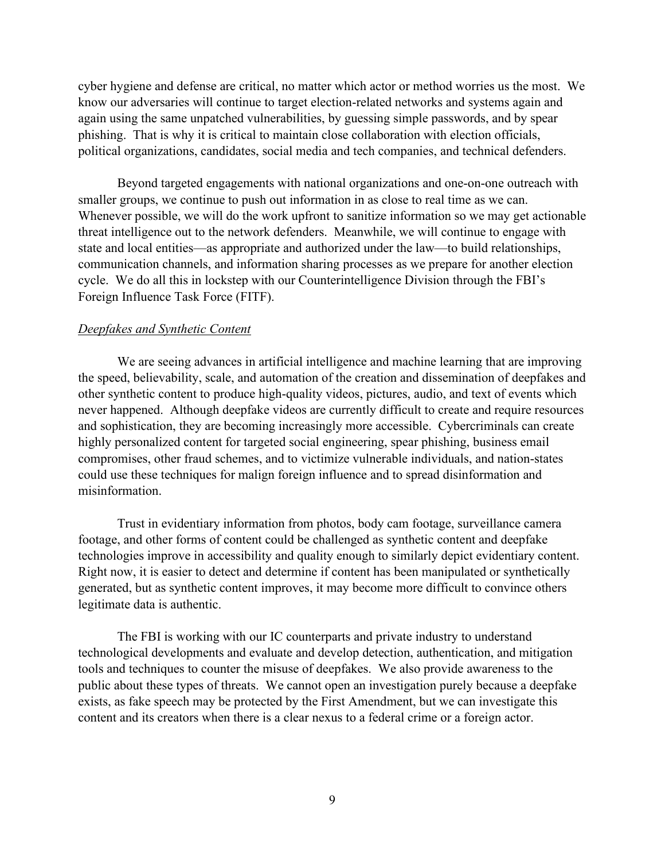cyber hygiene and defense are critical, no matter which actor or method worries us the most. We know our adversaries will continue to target election-related networks and systems again and again using the same unpatched vulnerabilities, by guessing simple passwords, and by spear phishing. That is why it is critical to maintain close collaboration with election officials, political organizations, candidates, social media and tech companies, and technical defenders.

Beyond targeted engagements with national organizations and one-on-one outreach with smaller groups, we continue to push out information in as close to real time as we can. Whenever possible, we will do the work upfront to sanitize information so we may get actionable threat intelligence out to the network defenders. Meanwhile, we will continue to engage with state and local entities—as appropriate and authorized under the law—to build relationships, communication channels, and information sharing processes as we prepare for another election cycle. We do all this in lockstep with our Counterintelligence Division through the FBI's Foreign Influence Task Force (FITF).

#### *Deepfakes and Synthetic Content*

We are seeing advances in artificial intelligence and machine learning that are improving the speed, believability, scale, and automation of the creation and dissemination of deepfakes and other synthetic content to produce high-quality videos, pictures, audio, and text of events which never happened. Although deepfake videos are currently difficult to create and require resources and sophistication, they are becoming increasingly more accessible. Cybercriminals can create highly personalized content for targeted social engineering, spear phishing, business email compromises, other fraud schemes, and to victimize vulnerable individuals, and nation-states could use these techniques for malign foreign influence and to spread disinformation and misinformation.

Trust in evidentiary information from photos, body cam footage, surveillance camera footage, and other forms of content could be challenged as synthetic content and deepfake technologies improve in accessibility and quality enough to similarly depict evidentiary content. Right now, it is easier to detect and determine if content has been manipulated or synthetically generated, but as synthetic content improves, it may become more difficult to convince others legitimate data is authentic.

The FBI is working with our IC counterparts and private industry to understand technological developments and evaluate and develop detection, authentication, and mitigation tools and techniques to counter the misuse of deepfakes. We also provide awareness to the public about these types of threats. We cannot open an investigation purely because a deepfake exists, as fake speech may be protected by the First Amendment, but we can investigate this content and its creators when there is a clear nexus to a federal crime or a foreign actor.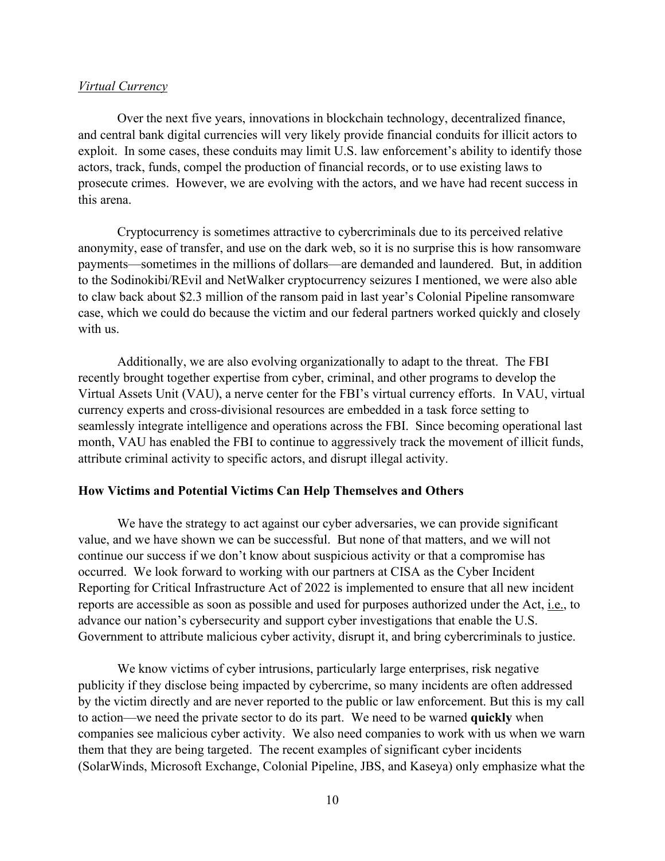#### *Virtual Currency*

Over the next five years, innovations in blockchain technology, decentralized finance, and central bank digital currencies will very likely provide financial conduits for illicit actors to exploit. In some cases, these conduits may limit U.S. law enforcement's ability to identify those actors, track, funds, compel the production of financial records, or to use existing laws to prosecute crimes. However, we are evolving with the actors, and we have had recent success in this arena.

Cryptocurrency is sometimes attractive to cybercriminals due to its perceived relative anonymity, ease of transfer, and use on the dark web, so it is no surprise this is how ransomware payments—sometimes in the millions of dollars—are demanded and laundered. But, in addition to the Sodinokibi/REvil and NetWalker cryptocurrency seizures I mentioned, we were also able to claw back about \$2.3 million of the ransom paid in last year's Colonial Pipeline ransomware case, which we could do because the victim and our federal partners worked quickly and closely with us.

Additionally, we are also evolving organizationally to adapt to the threat. The FBI recently brought together expertise from cyber, criminal, and other programs to develop the Virtual Assets Unit (VAU), a nerve center for the FBI's virtual currency efforts. In VAU, virtual currency experts and cross-divisional resources are embedded in a task force setting to seamlessly integrate intelligence and operations across the FBI. Since becoming operational last month, VAU has enabled the FBI to continue to aggressively track the movement of illicit funds, attribute criminal activity to specific actors, and disrupt illegal activity.

#### **How Victims and Potential Victims Can Help Themselves and Others**

We have the strategy to act against our cyber adversaries, we can provide significant value, and we have shown we can be successful. But none of that matters, and we will not continue our success if we don't know about suspicious activity or that a compromise has occurred. We look forward to working with our partners at CISA as the Cyber Incident Reporting for Critical Infrastructure Act of 2022 is implemented to ensure that all new incident reports are accessible as soon as possible and used for purposes authorized under the Act, i.e., to advance our nation's cybersecurity and support cyber investigations that enable the U.S. Government to attribute malicious cyber activity, disrupt it, and bring cybercriminals to justice.

We know victims of cyber intrusions, particularly large enterprises, risk negative publicity if they disclose being impacted by cybercrime, so many incidents are often addressed by the victim directly and are never reported to the public or law enforcement. But this is my call to action—we need the private sector to do its part. We need to be warned **quickly** when companies see malicious cyber activity. We also need companies to work with us when we warn them that they are being targeted. The recent examples of significant cyber incidents (SolarWinds, Microsoft Exchange, Colonial Pipeline, JBS, and Kaseya) only emphasize what the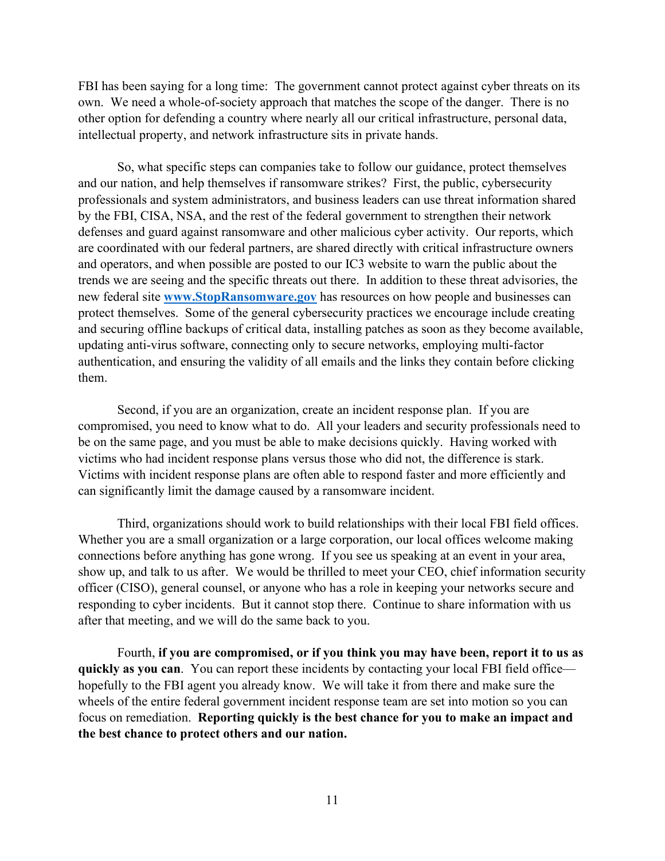FBI has been saying for a long time: The government cannot protect against cyber threats on its own. We need a whole-of-society approach that matches the scope of the danger. There is no other option for defending a country where nearly all our critical infrastructure, personal data, intellectual property, and network infrastructure sits in private hands.

So, what specific steps can companies take to follow our guidance, protect themselves and our nation, and help themselves if ransomware strikes? First, the public, cybersecurity professionals and system administrators, and business leaders can use threat information shared by the FBI, CISA, NSA, and the rest of the federal government to strengthen their network defenses and guard against ransomware and other malicious cyber activity. Our reports, which are coordinated with our federal partners, are shared directly with critical infrastructure owners and operators, and when possible are posted to our IC3 website to warn the public about the trends we are seeing and the specific threats out there. In addition to these threat advisories, the new federal site **[www.StopRansomware.gov](http://www.stopransomware.gov/)** has resources on how people and businesses can protect themselves. Some of the general cybersecurity practices we encourage include creating and securing offline backups of critical data, installing patches as soon as they become available, updating anti-virus software, connecting only to secure networks, employing multi-factor authentication, and ensuring the validity of all emails and the links they contain before clicking them.

Second, if you are an organization, create an incident response plan. If you are compromised, you need to know what to do. All your leaders and security professionals need to be on the same page, and you must be able to make decisions quickly. Having worked with victims who had incident response plans versus those who did not, the difference is stark. Victims with incident response plans are often able to respond faster and more efficiently and can significantly limit the damage caused by a ransomware incident.

Third, organizations should work to build relationships with their local FBI field offices. Whether you are a small organization or a large corporation, our local offices welcome making connections before anything has gone wrong. If you see us speaking at an event in your area, show up, and talk to us after. We would be thrilled to meet your CEO, chief information security officer (CISO), general counsel, or anyone who has a role in keeping your networks secure and responding to cyber incidents. But it cannot stop there. Continue to share information with us after that meeting, and we will do the same back to you.

Fourth, **if you are compromised, or if you think you may have been, report it to us as quickly as you can**. You can report these incidents by contacting your local FBI field office hopefully to the FBI agent you already know. We will take it from there and make sure the wheels of the entire federal government incident response team are set into motion so you can focus on remediation. **Reporting quickly is the best chance for you to make an impact and the best chance to protect others and our nation.**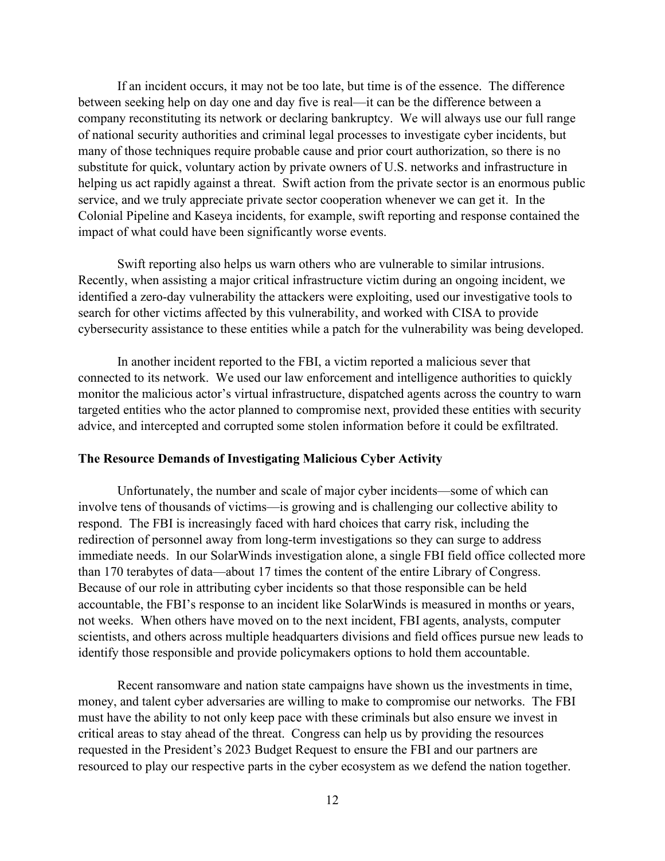If an incident occurs, it may not be too late, but time is of the essence. The difference between seeking help on day one and day five is real—it can be the difference between a company reconstituting its network or declaring bankruptcy. We will always use our full range of national security authorities and criminal legal processes to investigate cyber incidents, but many of those techniques require probable cause and prior court authorization, so there is no substitute for quick, voluntary action by private owners of U.S. networks and infrastructure in helping us act rapidly against a threat. Swift action from the private sector is an enormous public service, and we truly appreciate private sector cooperation whenever we can get it. In the Colonial Pipeline and Kaseya incidents, for example, swift reporting and response contained the impact of what could have been significantly worse events.

Swift reporting also helps us warn others who are vulnerable to similar intrusions. Recently, when assisting a major critical infrastructure victim during an ongoing incident, we identified a zero-day vulnerability the attackers were exploiting, used our investigative tools to search for other victims affected by this vulnerability, and worked with CISA to provide cybersecurity assistance to these entities while a patch for the vulnerability was being developed.

In another incident reported to the FBI, a victim reported a malicious sever that connected to its network. We used our law enforcement and intelligence authorities to quickly monitor the malicious actor's virtual infrastructure, dispatched agents across the country to warn targeted entities who the actor planned to compromise next, provided these entities with security advice, and intercepted and corrupted some stolen information before it could be exfiltrated.

#### **The Resource Demands of Investigating Malicious Cyber Activity**

Unfortunately, the number and scale of major cyber incidents—some of which can involve tens of thousands of victims—is growing and is challenging our collective ability to respond. The FBI is increasingly faced with hard choices that carry risk, including the redirection of personnel away from long-term investigations so they can surge to address immediate needs. In our SolarWinds investigation alone, a single FBI field office collected more than 170 terabytes of data—about 17 times the content of the entire Library of Congress. Because of our role in attributing cyber incidents so that those responsible can be held accountable, the FBI's response to an incident like SolarWinds is measured in months or years, not weeks. When others have moved on to the next incident, FBI agents, analysts, computer scientists, and others across multiple headquarters divisions and field offices pursue new leads to identify those responsible and provide policymakers options to hold them accountable.

Recent ransomware and nation state campaigns have shown us the investments in time, money, and talent cyber adversaries are willing to make to compromise our networks. The FBI must have the ability to not only keep pace with these criminals but also ensure we invest in critical areas to stay ahead of the threat. Congress can help us by providing the resources requested in the President's 2023 Budget Request to ensure the FBI and our partners are resourced to play our respective parts in the cyber ecosystem as we defend the nation together.